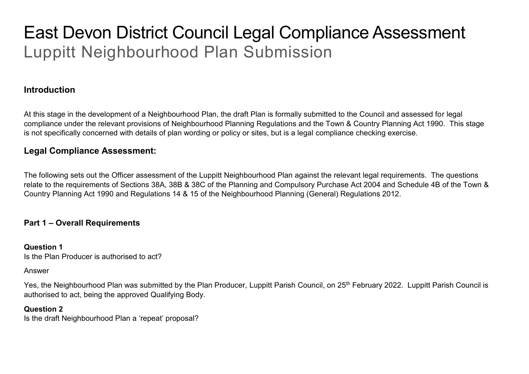# East Devon District Council Legal Compliance Assessment Luppitt Neighbourhood Plan Submission

# **Introduction**

At this stage in the development of a Neighbourhood Plan, the draft Plan is formally submitted to the Council and assessed for legal compliance under the relevant provisions of Neighbourhood Planning Regulations and the Town & Country Planning Act 1990. This stage is not specifically concerned with details of plan wording or policy or sites, but is a legal compliance checking exercise.

# **Legal Compliance Assessment:**

The following sets out the Officer assessment of the Luppitt Neighbourhood Plan against the relevant legal requirements. The questions relate to the requirements of Sections 38A, 38B & 38C of the Planning and Compulsory Purchase Act 2004 and Schedule 4B of the Town & Country Planning Act 1990 and Regulations 14 & 15 of the Neighbourhood Planning (General) Regulations 2012.

# **Part 1 – Overall Requirements**

### **Question 1**

Is the Plan Producer is authorised to act?

### Answer

Yes, the Neighbourhood Plan was submitted by the Plan Producer, Luppitt Parish Council, on 25<sup>th</sup> February 2022. Luppitt Parish Council is authorised to act, being the approved Qualifying Body.

# **Question 2**

Is the draft Neighbourhood Plan a 'repeat' proposal?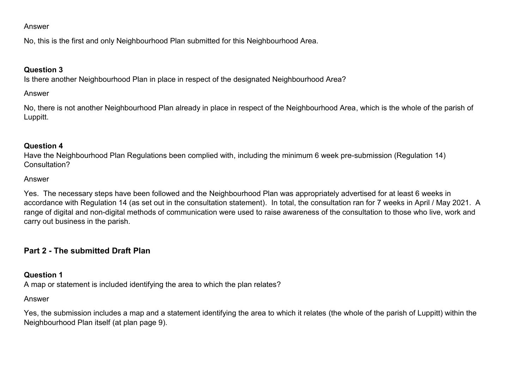#### Answer

No, this is the first and only Neighbourhood Plan submitted for this Neighbourhood Area.

## **Question 3**

Is there another Neighbourhood Plan in place in respect of the designated Neighbourhood Area?

# Answer

No, there is not another Neighbourhood Plan already in place in respect of the Neighbourhood Area, which is the whole of the parish of Luppitt.

### **Question 4**

Have the Neighbourhood Plan Regulations been complied with, including the minimum 6 week pre-submission (Regulation 14) Consultation?

### Answer

Yes. The necessary steps have been followed and the Neighbourhood Plan was appropriately advertised for at least 6 weeks in accordance with Regulation 14 (as set out in the consultation statement). In total, the consultation ran for 7 weeks in April / May 2021. A range of digital and non-digital methods of communication were used to raise awareness of the consultation to those who live, work and carry out business in the parish.

# **Part 2 - The submitted Draft Plan**

# **Question 1**

A map or statement is included identifying the area to which the plan relates?

### Answer

Yes, the submission includes a map and a statement identifying the area to which it relates (the whole of the parish of Luppitt) within the Neighbourhood Plan itself (at plan page 9).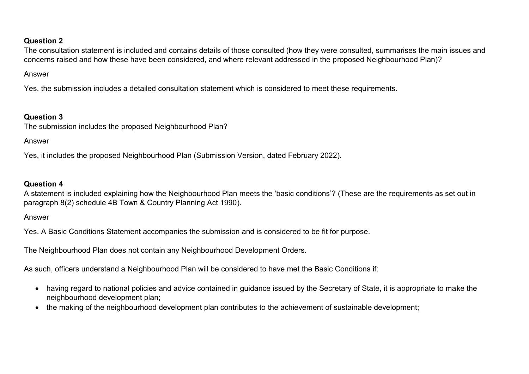# **Question 2**

The consultation statement is included and contains details of those consulted (how they were consulted, summarises the main issues and concerns raised and how these have been considered, and where relevant addressed in the proposed Neighbourhood Plan)?

#### Answer

Yes, the submission includes a detailed consultation statement which is considered to meet these requirements.

# **Question 3**

The submission includes the proposed Neighbourhood Plan?

### Answer

Yes, it includes the proposed Neighbourhood Plan (Submission Version, dated February 2022).

# **Question 4**

A statement is included explaining how the Neighbourhood Plan meets the 'basic conditions'? (These are the requirements as set out in paragraph 8(2) schedule 4B Town & Country Planning Act 1990).

### Answer

Yes. A Basic Conditions Statement accompanies the submission and is considered to be fit for purpose.

The Neighbourhood Plan does not contain any Neighbourhood Development Orders.

As such, officers understand a Neighbourhood Plan will be considered to have met the Basic Conditions if:

- having regard to national policies and advice contained in guidance issued by the Secretary of State, it is appropriate to make the neighbourhood development plan;
- the making of the neighbourhood development plan contributes to the achievement of sustainable development;